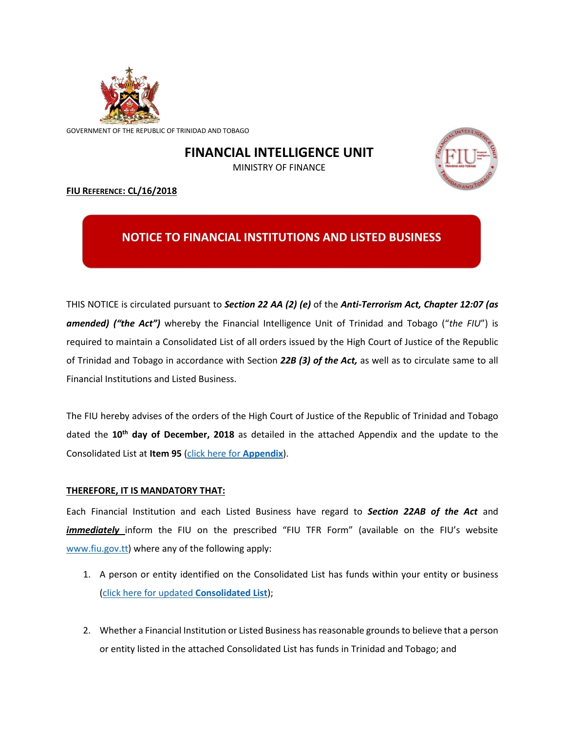

GOVERNMENT OF THE REPUBLIC OF TRINIDAD AND TOBAGO

## **FINANCIAL INTELLIGENCE UNIT**

MINISTRY OF FINANCE



## **FIU REFERENCE: CL/16/2018**

## **NOTICE TO FINANCIAL INSTITUTIONS AND LISTED BUSINESS**

THIS NOTICE is circulated pursuant to *Section 22 AA (2) (e)* of the *Anti-Terrorism Act, Chapter 12:07 (as amended) ("the Act")* whereby the Financial Intelligence Unit of Trinidad and Tobago ("*the FIU*") is required to maintain a Consolidated List of all orders issued by the High Court of Justice of the Republic of Trinidad and Tobago in accordance with Section *22B (3) of the Act,* as well as to circulate same to all Financial Institutions and Listed Business.

The FIU hereby advises of the orders of the High Court of Justice of the Republic of Trinidad and Tobago dated the **10th day of December, 2018** as detailed in the attached Appendix and the update to the Consolidated List at **Item 95** [\(click here for](http://www.fiu.gov.tt/content/Appendix%2012%20December%202018%20CL16%202018%20CV2018%2004597.pdf) **Appendix**).

## **THEREFORE, IT IS MANDATORY THAT:**

Each Financial Institution and each Listed Business have regard to *Section 22AB of the Act* and *immediately* inform the FIU on the prescribed "FIU TFR Form" (available on the FIU's website [www.fiu.gov.tt\)](http://www.fiu.gov.tt/) where any of the following apply:

- 1. A person or entity identified on the Consolidated List has funds within your entity or business [\(click here for updated](http://www.fiu.gov.tt/content/CONSOLIDATED%20LIST%20of%20Court%20Orders%20as%20of%2012%20December%202018.pdf) **Consolidated List**);
- 2. Whether a Financial Institution or Listed Business has reasonable grounds to believe that a person or entity listed in the attached Consolidated List has funds in Trinidad and Tobago; and